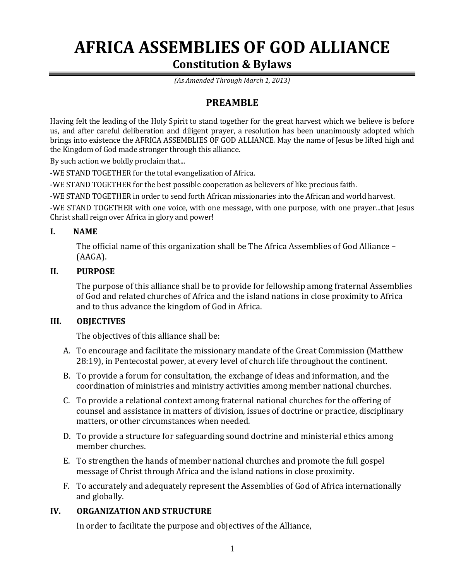# **AFRICA ASSEMBLIES OF GOD ALLIANCE Constitution & Bylaws**

*(As Amended Through March 1, 2013)*

# **PREAMBLE**

Having felt the leading of the Holy Spirit to stand together for the great harvest which we believe is before us, and after careful deliberation and diligent prayer, a resolution has been unanimously adopted which brings into existence the AFRICA ASSEMBLIES OF GOD ALLIANCE. May the name of Jesus be lifted high and the Kingdom of God made stronger through this alliance.

By such action we boldly proclaim that...

-WE STAND TOGETHER for the total evangelization of Africa.

-WE STAND TOGETHER for the best possible cooperation as believers of like precious faith.

-WE STAND TOGETHER in order to send forth African missionaries into the African and world harvest.

-WE STAND TOGETHER with one voice, with one message, with one purpose, with one prayer...that Jesus Christ shall reign over Africa in glory and power!

#### **I. NAME**

The official name of this organization shall be The Africa Assemblies of God Alliance – (AAGA).

#### **II. PURPOSE**

The purpose of this alliance shall be to provide for fellowship among fraternal Assemblies of God and related churches of Africa and the island nations in close proximity to Africa and to thus advance the kingdom of God in Africa.

#### **III. OBJECTIVES**

The objectives of this alliance shall be:

- A. To encourage and facilitate the missionary mandate of the Great Commission (Matthew 28:19), in Pentecostal power, at every level of church life throughout the continent.
- B. To provide a forum for consultation, the exchange of ideas and information, and the coordination of ministries and ministry activities among member national churches.
- C. To provide a relational context among fraternal national churches for the offering of counsel and assistance in matters of division, issues of doctrine or practice, disciplinary matters, or other circumstances when needed.
- D. To provide a structure for safeguarding sound doctrine and ministerial ethics among member churches.
- E. To strengthen the hands of member national churches and promote the full gospel message of Christ through Africa and the island nations in close proximity.
- F. To accurately and adequately represent the Assemblies of God of Africa internationally and globally.

#### **IV. ORGANIZATION AND STRUCTURE**

In order to facilitate the purpose and objectives of the Alliance,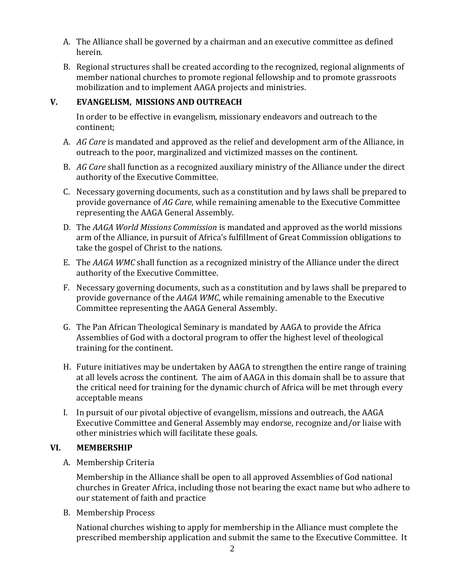- A. The Alliance shall be governed by a chairman and an executive committee as defined herein.
- B. Regional structures shall be created according to the recognized, regional alignments of member national churches to promote regional fellowship and to promote grassroots mobilization and to implement AAGA projects and ministries.

#### **V. EVANGELISM, MISSIONS AND OUTREACH**

In order to be effective in evangelism, missionary endeavors and outreach to the continent;

- A. *AG Care* is mandated and approved as the relief and development arm of the Alliance, in outreach to the poor, marginalized and victimized masses on the continent.
- B. *AG Care* shall function as a recognized auxiliary ministry of the Alliance under the direct authority of the Executive Committee.
- C. Necessary governing documents, such as a constitution and by laws shall be prepared to provide governance of *AG Care*, while remaining amenable to the Executive Committee representing the AAGA General Assembly.
- D. The *AAGA World Missions Commission* is mandated and approved as the world missions arm of the Alliance, in pursuit of Africa's fulfillment of Great Commission obligations to take the gospel of Christ to the nations.
- E. The *AAGA WMC* shall function as a recognized ministry of the Alliance under the direct authority of the Executive Committee.
- F. Necessary governing documents, such as a constitution and by laws shall be prepared to provide governance of the *AAGA WMC*, while remaining amenable to the Executive Committee representing the AAGA General Assembly.
- G. The Pan African Theological Seminary is mandated by AAGA to provide the Africa Assemblies of God with a doctoral program to offer the highest level of theological training for the continent.
- H. Future initiatives may be undertaken by AAGA to strengthen the entire range of training at all levels across the continent. The aim of AAGA in this domain shall be to assure that the critical need for training for the dynamic church of Africa will be met through every acceptable means
- I. In pursuit of our pivotal objective of evangelism, missions and outreach, the AAGA Executive Committee and General Assembly may endorse, recognize and/or liaise with other ministries which will facilitate these goals.

# **VI. MEMBERSHIP**

A. Membership Criteria

Membership in the Alliance shall be open to all approved Assemblies of God national churches in Greater Africa, including those not bearing the exact name but who adhere to our statement of faith and practice

B. Membership Process

National churches wishing to apply for membership in the Alliance must complete the prescribed membership application and submit the same to the Executive Committee. It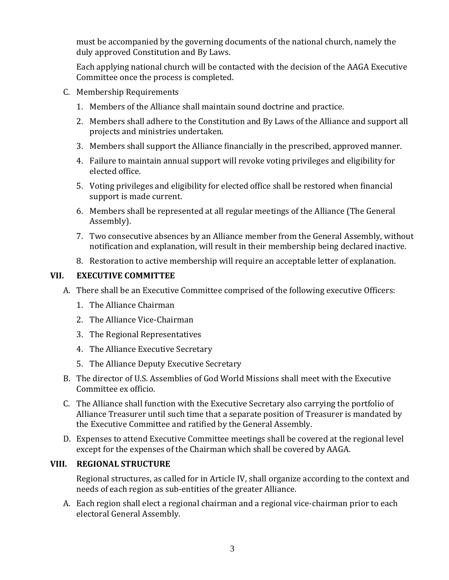must be accompanied by the governing documents of the national church, namely the duly approved Constitution and By Laws.

Each applying national church will be contacted with the decision of the AAGA Executive Committee once the process is completed.

- C. Membership Requirements
	- 1. Members of the Alliance shall maintain sound doctrine and practice.
	- 2. Members shall adhere to the Constitution and By Laws of the Alliance and support all projects and ministries undertaken.
	- 3. Members shall support the Alliance financially in the prescribed, approved manner.
	- 4. Failure to maintain annual support will revoke voting privileges and eligibility for elected office.
	- 5. Voting privileges and eligibility for elected office shall be restored when financial support is made current.
	- 6. Members shall be represented at all regular meetings of the Alliance (The General Assembly).
	- 7. Two consecutive absences by an Alliance member from the General Assembly, without notification and explanation, will result in their membership being declared inactive.
	- 8. Restoration to active membership will require an acceptable letter of explanation.

#### **VII. EXECUTIVE COMMITTEE**

- A. There shall be an Executive Committee comprised of the following executive Officers:
	- 1. The Alliance Chairman
	- 2. The Alliance Vice-Chairman
	- 3. The Regional Representatives
	- 4. The Alliance Executive Secretary
	- 5. The Alliance Deputy Executive Secretary
- B. The director of U.S. Assemblies of God World Missions shall meet with the Executive Committee ex officio.
- C. The Alliance shall function with the Executive Secretary also carrying the portfolio of Alliance Treasurer until such time that a separate position of Treasurer is mandated by the Executive Committee and ratified by the General Assembly.
- D. Expenses to attend Executive Committee meetings shall be covered at the regional level except for the expenses of the Chairman which shall be covered by AAGA.

#### **VIII. REGIONAL STRUCTURE**

Regional structures, as called for in Article IV, shall organize according to the context and needs of each region as sub-entities of the greater Alliance.

A. Each region shall elect a regional chairman and a regional vice-chairman prior to each electoral General Assembly.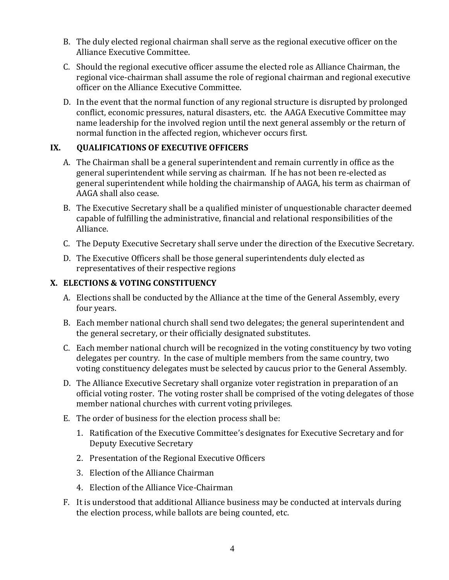- B. The duly elected regional chairman shall serve as the regional executive officer on the Alliance Executive Committee.
- C. Should the regional executive officer assume the elected role as Alliance Chairman, the regional vice-chairman shall assume the role of regional chairman and regional executive officer on the Alliance Executive Committee.
- D. In the event that the normal function of any regional structure is disrupted by prolonged conflict, economic pressures, natural disasters, etc. the AAGA Executive Committee may name leadership for the involved region until the next general assembly or the return of normal function in the affected region, whichever occurs first.

# **IX. QUALIFICATIONS OF EXECUTIVE OFFICERS**

- A. The Chairman shall be a general superintendent and remain currently in office as the general superintendent while serving as chairman. If he has not been re-elected as general superintendent while holding the chairmanship of AAGA, his term as chairman of AAGA shall also cease.
- B. The Executive Secretary shall be a qualified minister of unquestionable character deemed capable of fulfilling the administrative, financial and relational responsibilities of the Alliance.
- C. The Deputy Executive Secretary shall serve under the direction of the Executive Secretary.
- D. The Executive Officers shall be those general superintendents duly elected as representatives of their respective regions

# **X. ELECTIONS & VOTING CONSTITUENCY**

- A. Elections shall be conducted by the Alliance at the time of the General Assembly, every four years.
- B. Each member national church shall send two delegates; the general superintendent and the general secretary, or their officially designated substitutes.
- C. Each member national church will be recognized in the voting constituency by two voting delegates per country. In the case of multiple members from the same country, two voting constituency delegates must be selected by caucus prior to the General Assembly.
- D. The Alliance Executive Secretary shall organize voter registration in preparation of an official voting roster. The voting roster shall be comprised of the voting delegates of those member national churches with current voting privileges.
- E. The order of business for the election process shall be:
	- 1. Ratification of the Executive Committee's designates for Executive Secretary and for Deputy Executive Secretary
	- 2. Presentation of the Regional Executive Officers
	- 3. Election of the Alliance Chairman
	- 4. Election of the Alliance Vice-Chairman
- F. It is understood that additional Alliance business may be conducted at intervals during the election process, while ballots are being counted, etc.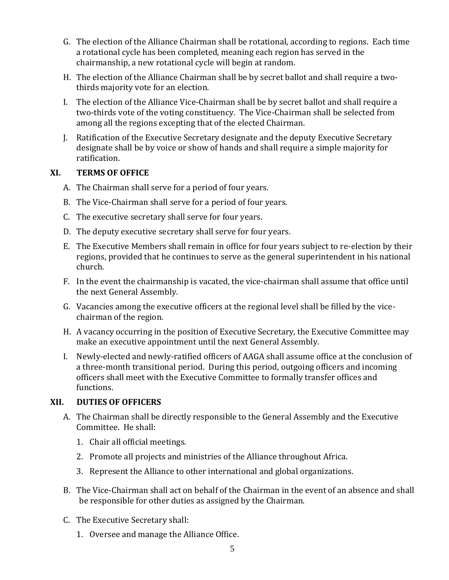- G. The election of the Alliance Chairman shall be rotational, according to regions. Each time a rotational cycle has been completed, meaning each region has served in the chairmanship, a new rotational cycle will begin at random.
- H. The election of the Alliance Chairman shall be by secret ballot and shall require a twothirds majority vote for an election.
- I. The election of the Alliance Vice-Chairman shall be by secret ballot and shall require a two-thirds vote of the voting constituency. The Vice-Chairman shall be selected from among all the regions excepting that of the elected Chairman.
- J. Ratification of the Executive Secretary designate and the deputy Executive Secretary designate shall be by voice or show of hands and shall require a simple majority for ratification.

#### **XI. TERMS OF OFFICE**

- A. The Chairman shall serve for a period of four years.
- B. The Vice-Chairman shall serve for a period of four years.
- C. The executive secretary shall serve for four years.
- D. The deputy executive secretary shall serve for four years.
- E. The Executive Members shall remain in office for four years subject to re-election by their regions, provided that he continues to serve as the general superintendent in his national church.
- F. In the event the chairmanship is vacated, the vice-chairman shall assume that office until the next General Assembly.
- G. Vacancies among the executive officers at the regional level shall be filled by the vicechairman of the region.
- H. A vacancy occurring in the position of Executive Secretary, the Executive Committee may make an executive appointment until the next General Assembly.
- I. Newly-elected and newly-ratified officers of AAGA shall assume office at the conclusion of a three-month transitional period. During this period, outgoing officers and incoming officers shall meet with the Executive Committee to formally transfer offices and functions.

# **XII. DUTIES OF OFFICERS**

- A. The Chairman shall be directly responsible to the General Assembly and the Executive Committee. He shall:
	- 1. Chair all official meetings.
	- 2. Promote all projects and ministries of the Alliance throughout Africa.
	- 3. Represent the Alliance to other international and global organizations.
- B. The Vice-Chairman shall act on behalf of the Chairman in the event of an absence and shall be responsible for other duties as assigned by the Chairman.
- C. The Executive Secretary shall:
	- 1. Oversee and manage the Alliance Office.